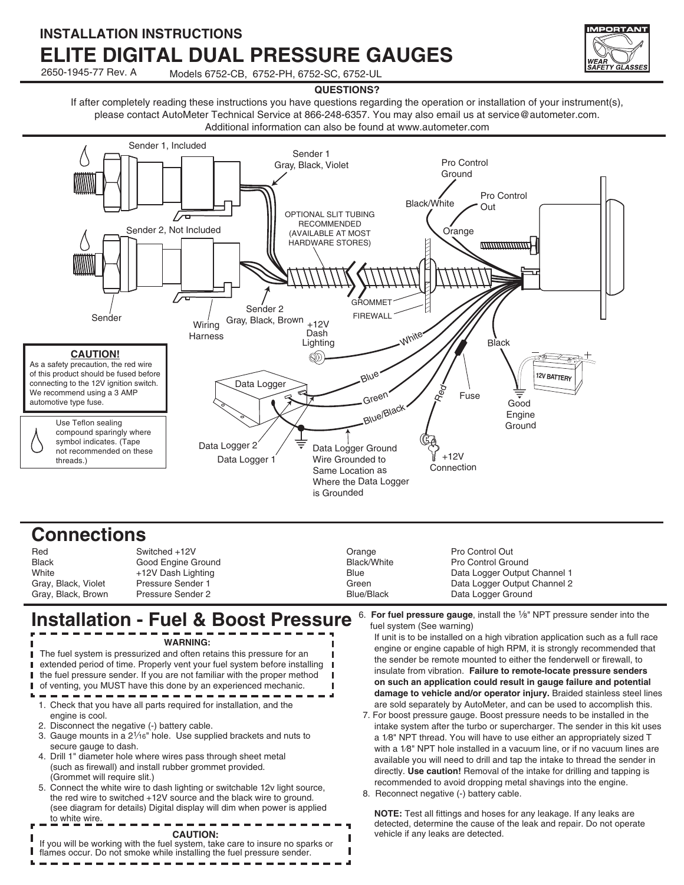### **INSTALLATION INSTRUCTIONS ELITE DIGITAL DUAL PRESSURE GAUGES**



2650-1945-77 Rev. A Models 6752-CB, 6752-PH, 6752-SC, 6752-UL

#### **QUESTIONS?**

If after completely reading these instructions you have questions regarding the operation or installation of your instrument(s), please contact AutoMeter Technical Service at 866-248-6357. You may also email us at service@autometer.com. Additional information can also be found at www.autometer.com



### **Connections**

| Red                 | Switched +12V            | Orange      | Pro Control Out              |
|---------------------|--------------------------|-------------|------------------------------|
| <b>Black</b>        | Good Engine Ground       | Black/White | Pro Control Ground           |
| White               | +12V Dash Lighting       | Blue        | Data Logger Output Channel 1 |
| Gray, Black, Violet | <b>Pressure Sender 1</b> | Green       | Data Logger Output Channel 2 |
| Gray, Black, Brown  | Pressure Sender 2        | Blue/Black  | Data Logger Ground           |

### **Installation - Fuel & Boost Pressure** 6. For fuel pressure gauge, install the 1/8" NPT pressure sender into the

 $- - - -$ 

| <b>WARNING:</b><br>The fuel system is pressurized and often retains this pressure for an<br>extended period of time. Properly vent your fuel system before installing<br>the fuel pressure sender. If you are not familiar with the proper method<br>of venting, you MUST have this done by an experienced mechanic.                                                                                                                                                                                                                                                  | fuel system (See warning)<br>If unit is to be installed on a high vibration application such as a full race<br>engine or engine capable of high RPM, it is strongly recommended that<br>the sender be remote mounted to either the fenderwell or firewall, to<br>insulate from vibration. Failure to remote-locate pressure senders<br>on such an application could result in gauge failure and potential<br>damage to vehicle and/or operator injury. Braided stainless steel lines                                                                                                                                                                             |  |
|-----------------------------------------------------------------------------------------------------------------------------------------------------------------------------------------------------------------------------------------------------------------------------------------------------------------------------------------------------------------------------------------------------------------------------------------------------------------------------------------------------------------------------------------------------------------------|------------------------------------------------------------------------------------------------------------------------------------------------------------------------------------------------------------------------------------------------------------------------------------------------------------------------------------------------------------------------------------------------------------------------------------------------------------------------------------------------------------------------------------------------------------------------------------------------------------------------------------------------------------------|--|
| 1. Check that you have all parts required for installation, and the<br>engine is cool.<br>2. Disconnect the negative (-) battery cable.<br>3. Gauge mounts in a 2 <sup>1</sup> /16" hole. Use supplied brackets and nuts to<br>secure gauge to dash.<br>4. Drill 1" diameter hole where wires pass through sheet metal<br>(such as firewall) and install rubber grommet provided.<br>(Grommet will require slit.)<br>5. Connect the white wire to dash lighting or switchable 12v light source,<br>the red wire to switched +12V source and the black wire to ground. | are sold separately by AutoMeter, and can be used to accomplish this.<br>7. For boost pressure gauge. Boost pressure needs to be installed in the<br>intake system after the turbo or supercharger. The sender in this kit uses<br>a 1/8" NPT thread. You will have to use either an appropriately sized T<br>with a 1/8" NPT hole installed in a vacuum line, or if no vacuum lines are<br>available you will need to drill and tap the intake to thread the sender in<br>directly. Use caution! Removal of the intake for drilling and tapping is<br>recommended to avoid dropping metal shavings into the engine.<br>8. Reconnect negative (-) battery cable. |  |
| (see diagram for details) Digital display will dim when power is applied<br>to white wire.<br><b>CAUTION:</b><br>If you will be working with the fuel system, take care to insure no sparks or<br>flames occur. Do not smoke while installing the fuel pressure sender.                                                                                                                                                                                                                                                                                               | <b>NOTE:</b> Test all fittings and hoses for any leakage. If any leaks are<br>detected, determine the cause of the leak and repair. Do not operate<br>vehicle if any leaks are detected.                                                                                                                                                                                                                                                                                                                                                                                                                                                                         |  |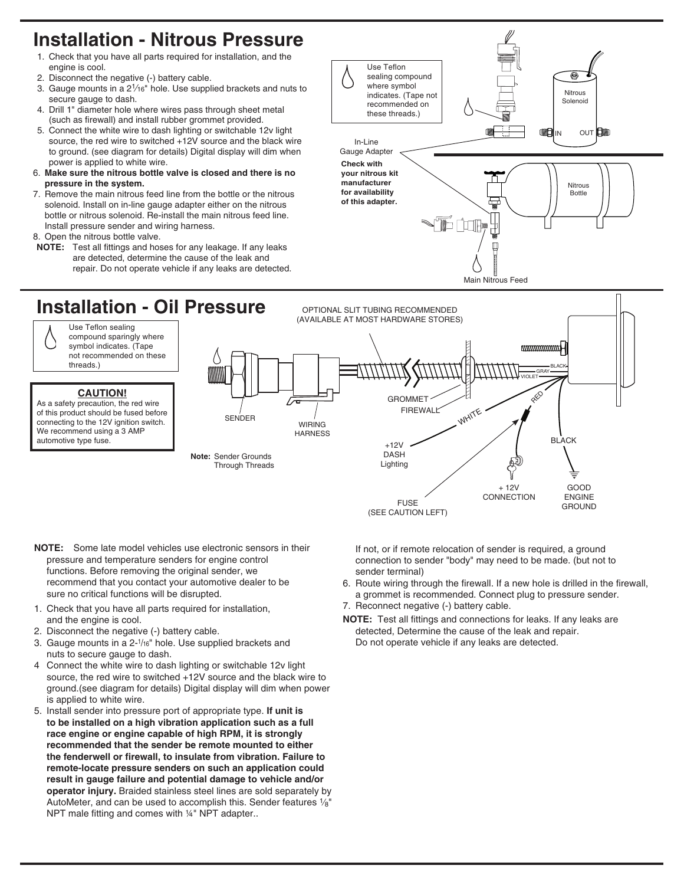## **Installation - Nitrous Pressure**

- 1. Check that you have all parts required for installation, and the engine is cool.
- 2. Disconnect the negative (-) battery cable.
- 3. Gauge mounts in a 21⁄16" hole. Use supplied brackets and nuts to secure gauge to dash.
- 4. Drill 1" diameter hole where wires pass through sheet metal (such as firewall) and install rubber grommet provided.
- 5. Connect the white wire to dash lighting or switchable 12v light source, the red wire to switched +12V source and the black wire to ground. (see diagram for details) Digital display will dim when power is applied to white wire.
- 6. **Make sure the nitrous bottle valve is closed and there is no pressure in the system.**
- 7. Remove the main nitrous feed line from the bottle or the nitrous solenoid. Install on in-line gauge adapter either on the nitrous bottle or nitrous solenoid. Re-install the main nitrous feed line. Install pressure sender and wiring harness.
- 8. Open the nitrous bottle valve.
- **NOTE:** Test all fittings and hoses for any leakage. If any leaks are detected, determine the cause of the leak and repair. Do not operate vehicle if any leaks are detected.





- **NOTE:** Some late model vehicles use electronic sensors in their pressure and temperature senders for engine control functions. Before removing the original sender, we recommend that you contact your automotive dealer to be sure no critical functions will be disrupted.
- 1. Check that you have all parts required for installation, and the engine is cool.
- 2. Disconnect the negative (-) battery cable.
- 3. Gauge mounts in a 2-1/16" hole. Use supplied brackets and nuts to secure gauge to dash.
- 4 Connect the white wire to dash lighting or switchable 12v light source, the red wire to switched +12V source and the black wire to ground.(see diagram for details) Digital display will dim when power is applied to white wire.
- 5. Install sender into pressure port of appropriate type. **If unit is to be installed on a high vibration application such as a full race engine or engine capable of high RPM, it is strongly recommended that the sender be remote mounted to either the fenderwell or firewall, to insulate from vibration. Failure to remote-locate pressure senders on such an application could result in gauge failure and potential damage to vehicle and/or operator injury.** Braided stainless steel lines are sold separately by AutoMeter, and can be used to accomplish this. Sender features 1/8" NPT male fitting and comes with 1/4" NPT adapter...

If not, or if remote relocation of sender is required, a ground connection to sender "body" may need to be made. (but not to sender terminal)

- 6. Route wiring through the firewall. If a new hole is drilled in the firewall, a grommet is recommended. Connect plug to pressure sender.
- 7. Reconnect negative (-) battery cable.
- **NOTE:** Test all fittings and connections for leaks. If any leaks are detected, Determine the cause of the leak and repair. Do not operate vehicle if any leaks are detected.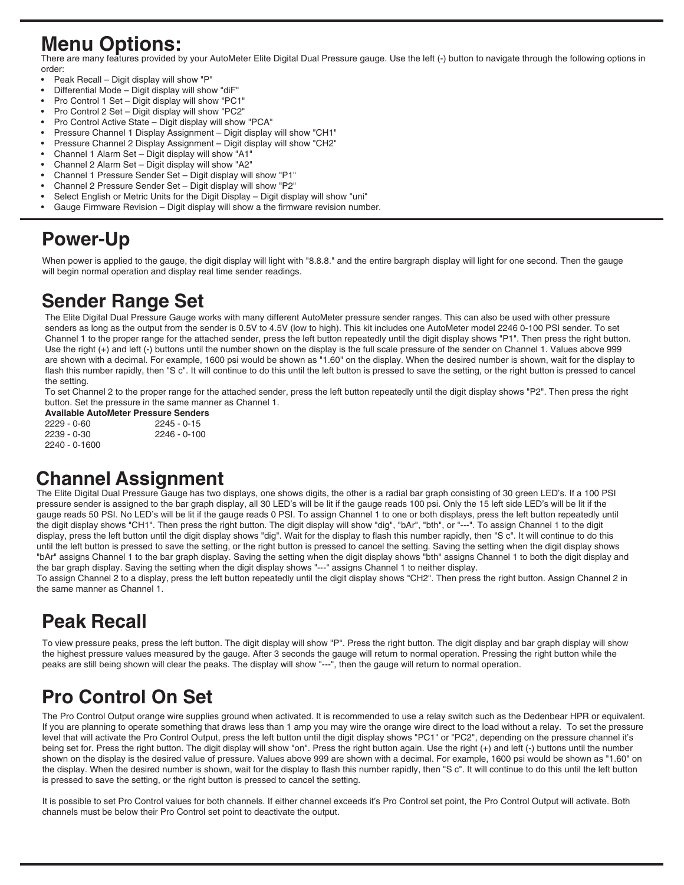## **Menu Options:**

There are many features provided by your AutoMeter Elite Digital Dual Pressure gauge. Use the left (-) button to navigate through the following options in order:

- Peak Recall Digit display will show "P"
- Differential Mode Digit display will show "diF"
- Pro Control 1 Set Digit display will show "PC1"
- Pro Control 2 Set Digit display will show "PC2"
- Pro Control Active State Digit display will show "PCA"
- Pressure Channel 1 Display Assignment Digit display will show "CH1"
- Pressure Channel 2 Display Assignment Digit display will show "CH2"
- Channel 1 Alarm Set Digit display will show "A1"
- Channel 2 Alarm Set Digit display will show "A2" • Channel 1 Pressure Sender Set – Digit display will show "P1"
- Channel 2 Pressure Sender Set Digit display will show "P2"
- Select English or Metric Units for the Digit Display Digit display will show "uni"
- Gauge Firmware Revision Digit display will show a the firmware revision number.

## **Power-Up**

When power is applied to the gauge, the digit display will light with "8.8.8." and the entire bargraph display will light for one second. Then the gauge will begin normal operation and display real time sender readings.

## **Sender Range Set**

The Elite Digital Dual Pressure Gauge works with many different AutoMeter pressure sender ranges. This can also be used with other pressure senders as long as the output from the sender is 0.5V to 4.5V (low to high). This kit includes one AutoMeter model 2246 0-100 PSI sender. To set Channel 1 to the proper range for the attached sender, press the left button repeatedly until the digit display shows "P1". Then press the right button. Use the right (+) and left (-) buttons until the number shown on the display is the full scale pressure of the sender on Channel 1. Values above 999 are shown with a decimal. For example, 1600 psi would be shown as "1.60" on the display. When the desired number is shown, wait for the display to flash this number rapidly, then "S c". It will continue to do this until the left button is pressed to save the setting, or the right button is pressed to cancel the setting.

To set Channel 2 to the proper range for the attached sender, press the left button repeatedly until the digit display shows "P2". Then press the right button. Set the pressure in the same manner as Channel 1.

**Available AutoMeter Pressure Senders** 2229 - 0-60 2245 - 0-15 2239 - 0-30 2246 - 0-100 2240 - 0-1600

## **Channel Assignment**

The Elite Digital Dual Pressure Gauge has two displays, one shows digits, the other is a radial bar graph consisting of 30 green LED's. If a 100 PSI pressure sender is assigned to the bar graph display, all 30 LED's will be lit if the gauge reads 100 psi. Only the 15 left side LED's will be lit if the gauge reads 50 PSI. No LED's will be lit if the gauge reads 0 PSI. To assign Channel 1 to one or both displays, press the left button repeatedly until the digit display shows "CH1". Then press the right button. The digit display will show "dig", "bAr", "bth", or "---". To assign Channel 1 to the digit display, press the left button until the digit display shows "dig". Wait for the display to flash this number rapidly, then "S c". It will continue to do this until the left button is pressed to save the setting, or the right button is pressed to cancel the setting. Saving the setting when the digit display shows "bAr" assigns Channel 1 to the bar graph display. Saving the setting when the digit display shows "bth" assigns Channel 1 to both the digit display and the bar graph display. Saving the setting when the digit display shows "---" assigns Channel 1 to neither display.

To assign Channel 2 to a display, press the left button repeatedly until the digit display shows "CH2". Then press the right button. Assign Channel 2 in the same manner as Channel 1.

# **Peak Recall**

To view pressure peaks, press the left button. The digit display will show "P". Press the right button. The digit display and bar graph display will show the highest pressure values measured by the gauge. After 3 seconds the gauge will return to normal operation. Pressing the right button while the peaks are still being shown will clear the peaks. The display will show "---", then the gauge will return to normal operation.

# **Pro Control On Set**

The Pro Control Output orange wire supplies ground when activated. It is recommended to use a relay switch such as the Dedenbear HPR or equivalent. If you are planning to operate something that draws less than 1 amp you may wire the orange wire direct to the load without a relay. To set the pressure level that will activate the Pro Control Output, press the left button until the digit display shows "PC1" or "PC2", depending on the pressure channel it's being set for. Press the right button. The digit display will show "on". Press the right button again. Use the right (+) and left (-) buttons until the number shown on the display is the desired value of pressure. Values above 999 are shown with a decimal. For example, 1600 psi would be shown as "1.60" on the display. When the desired number is shown, wait for the display to flash this number rapidly, then "S c". It will continue to do this until the left button is pressed to save the setting, or the right button is pressed to cancel the setting.

It is possible to set Pro Control values for both channels. If either channel exceeds it's Pro Control set point, the Pro Control Output will activate. Both channels must be below their Pro Control set point to deactivate the output.